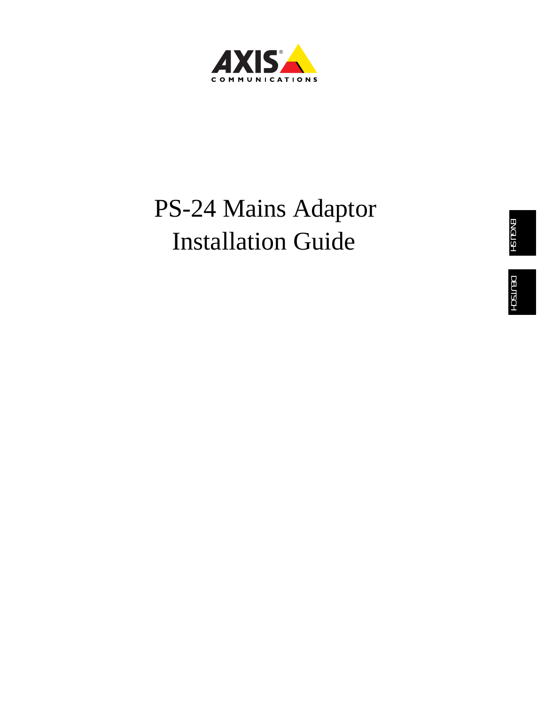

# PS-24 Mains Adaptor Installation Guide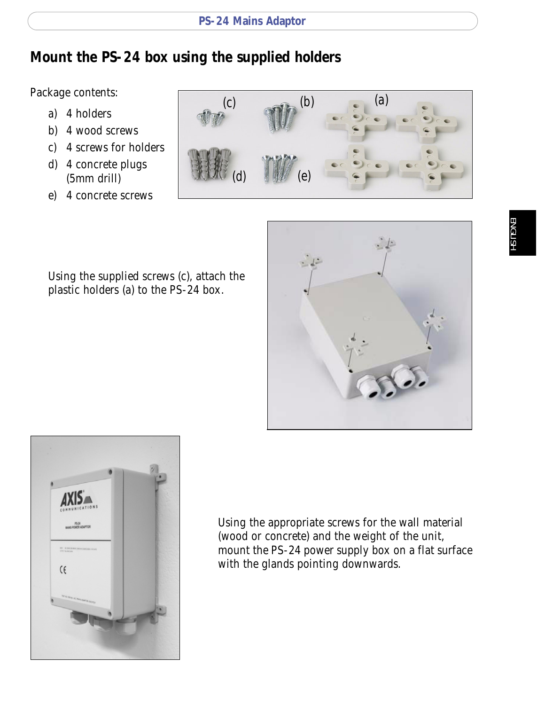# **Mount the PS-24 box using the supplied holders**

Package contents:

- a) 4 holders
- b) 4 wood screws
- c) 4 screws for holders
- d) 4 concrete plugs (5mm drill)
- e) 4 concrete screws



Using the supplied screws (c), attach the plastic holders (a) to the PS-24 box.





Using the appropriate screws for the wall material (wood or concrete) and the weight of the unit, mount the PS-24 power supply box on a flat surface with the glands pointing downwards.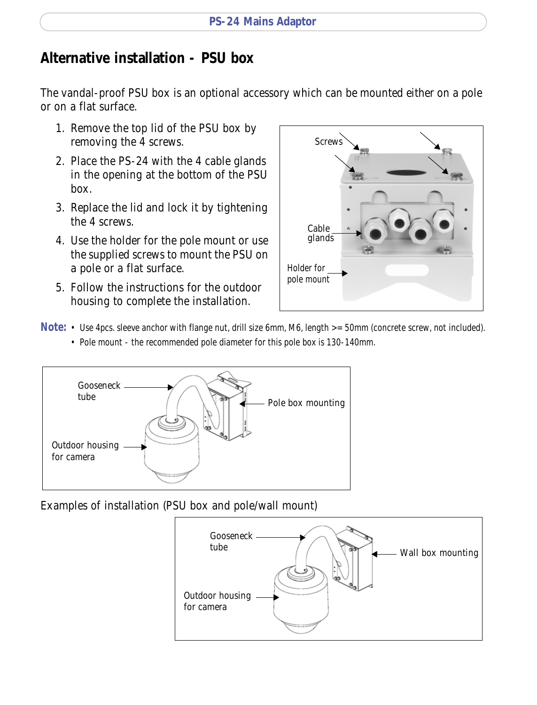# **Alternative installation - PSU box**

The vandal-proof PSU box is an optional accessory which can be mounted either on a pole or on a flat surface.

- 1. Remove the top lid of the PSU box by removing the 4 screws.
- 2. Place the PS-24 with the 4 cable glands in the opening at the bottom of the PSU box.
- 3. Replace the lid and lock it by tightening the 4 screws.
- 4. Use the holder for the pole mount or use the supplied screws to mount the PSU on a pole or a flat surface.
- 5. Follow the instructions for the outdoor housing to complete the installation.



- **Note:**  Use 4pcs. sleeve anchor with flange nut, drill size 6mm, M6, length >= 50mm (concrete screw, not included).
	- Pole mount the recommended pole diameter for this pole box is 130-140mm.



Examples of installation (PSU box and pole/wall mount)

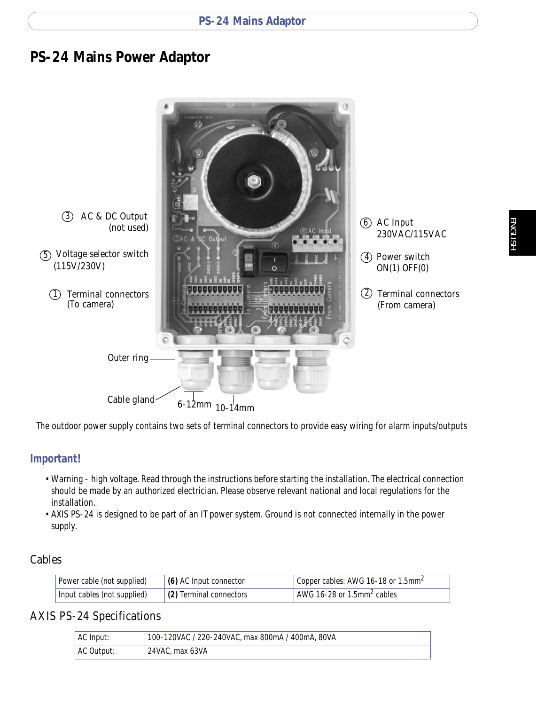### **PS-24 Mains Power Adaptor**



The outdoor power supply contains two sets of terminal connectors to provide easy wiring for alarm inputs/outputs

#### **Important!**

- Warning high voltage. Read through the instructions before starting the installation. The electrical connection should be made by an authorized electrician. Please observe relevant national and local regulations for the installation.
- AXIS PS-24 is designed to be part of an IT power system. Ground is not connected internally in the power supply.

### Cables

| Power cable (not supplied)  | $(6)$ AC Input connector | Copper cables: AWG 16-18 or 1.5mm <sup>2</sup> |
|-----------------------------|--------------------------|------------------------------------------------|
| Input cables (not supplied) | (2) Terminal connectors  | AWG 16-28 or 1.5mm <sup>2</sup> cables         |

### AXIS PS-24 Specifications

| AC Input:  | 100-120VAC / 220-240VAC, max 800mA / 400mA, 80VA |
|------------|--------------------------------------------------|
| AC Output: | 24VAC, max 63VA                                  |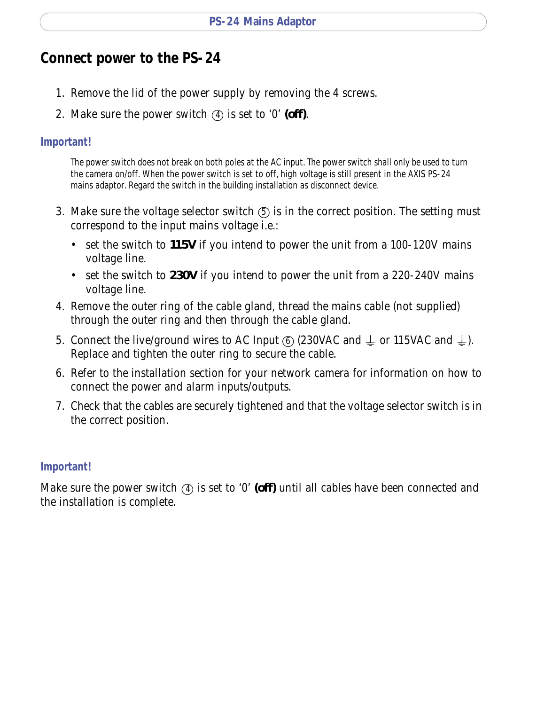# **Connect power to the PS-24**

- 1. Remove the lid of the power supply by removing the 4 screws.
- 2. Make sure the power switch  $\overline{a}$  is set to '0' (off).

#### **Important!**

The power switch does not break on both poles at the AC input. The power switch shall only be used to turn the camera on/off. When the power switch is set to off, high voltage is still present in the AXIS PS-24 mains adaptor. Regard the switch in the building installation as disconnect device.

- 3. Make sure the voltage selector switch  $\circledS$  is in the correct position. The setting must correspond to the input mains voltage i.e.:
	- set the switch to **115V** if you intend to power the unit from a 100-120V mains voltage line.
	- set the switch to **230V** if you intend to power the unit from a 220-240V mains voltage line.
- 4. Remove the outer ring of the cable gland, thread the mains cable (not supplied) through the outer ring and then through the cable gland.
- 5. Connect the live/ground wires to AC Input  $\circledcirc$  (230VAC and  $\downarrow$  or 115VAC and  $\downarrow$ ). Replace and tighten the outer ring to secure the cable.
- 6. Refer to the installation section for your network camera for information on how to connect the power and alarm inputs/outputs.
- 7. Check that the cables are securely tightened and that the voltage selector switch is in the correct position.

### **Important!**

Make sure the power switch 4 is set to '0' (off) until all cables have been connected and the installation is complete.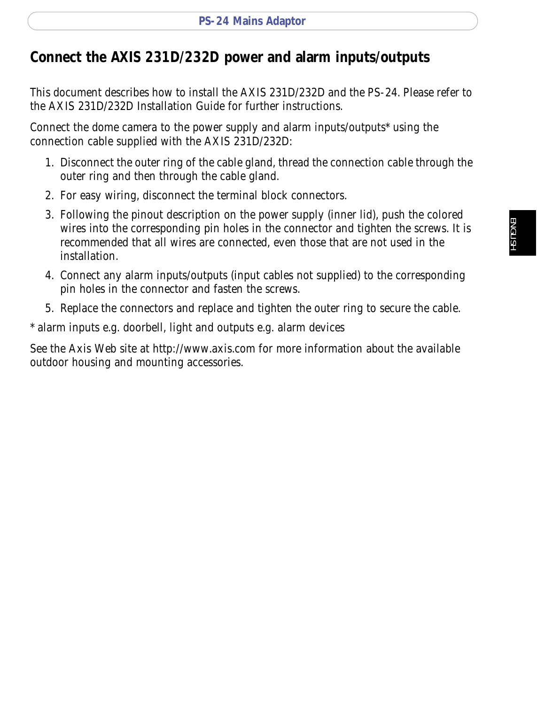# **Connect the AXIS 231D/232D power and alarm inputs/outputs**

This document describes how to install the AXIS 231D/232D and the PS-24. Please refer to the AXIS 231D/232D Installation Guide for further instructions.

Connect the dome camera to the power supply and alarm inputs/outputs\* using the connection cable supplied with the AXIS 231D/232D:

- 1. Disconnect the outer ring of the cable gland, thread the connection cable through the outer ring and then through the cable gland.
- 2. For easy wiring, disconnect the terminal block connectors.
- 3. Following the pinout description on the power supply (inner lid), push the colored wires into the corresponding pin holes in the connector and tighten the screws. It is recommended that all wires are connected, even those that are not used in the installation.
- 4. Connect any alarm inputs/outputs (input cables not supplied) to the corresponding pin holes in the connector and fasten the screws.
- 5. Replace the connectors and replace and tighten the outer ring to secure the cable.

\* alarm inputs e.g. doorbell, light and outputs e.g. alarm devices

See the Axis Web site at http://www.axis.com for more information about the available outdoor housing and mounting accessories.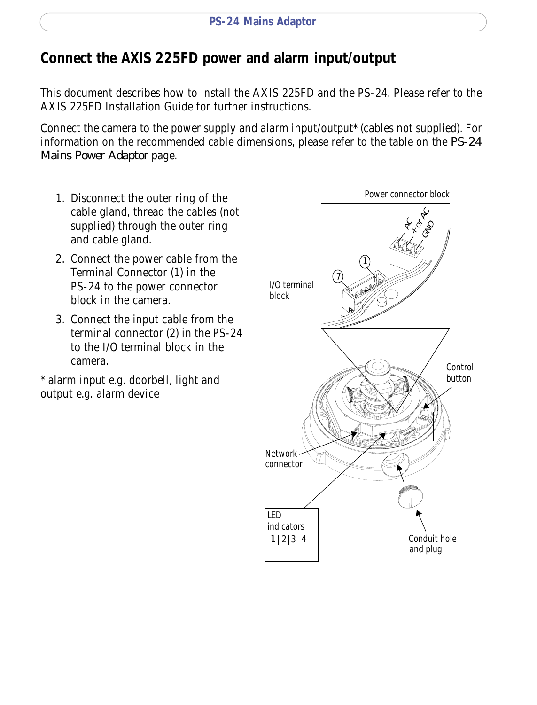# **Connect the AXIS 225FD power and alarm input/output**

This document describes how to install the AXIS 225FD and the PS-24. Please refer to the AXIS 225FD Installation Guide for further instructions.

Connect the camera to the power supply and alarm input/output\* (cables not supplied). For information on the recommended cable dimensions, please refer to the table on the *PS-24 Mains Power Adaptor* page.

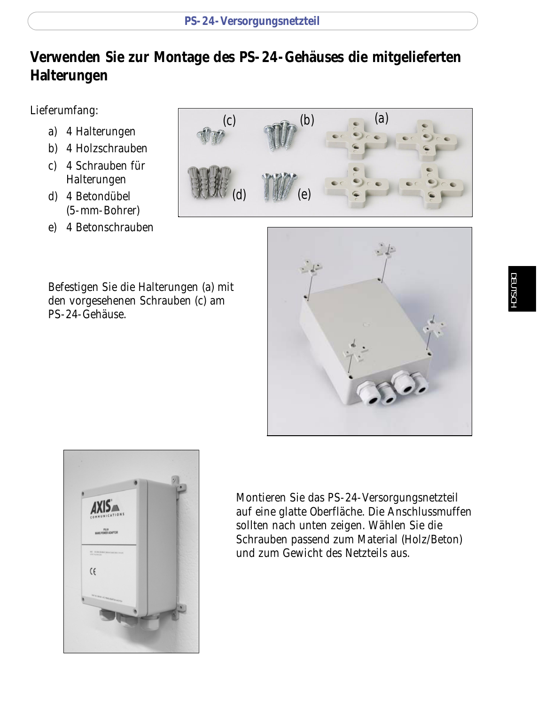# **Verwenden Sie zur Montage des PS-24-Gehäuses die mitgelieferten Halterungen**

Lieferumfang:

- a) 4 Halterungen
- b) 4 Holzschrauben
- c) 4 Schrauben für Halterungen
- d) 4 Betondübel (5-mm-Bohrer)
- e) 4 Betonschrauben

Befestigen Sie die Halterungen (a) mit den vorgesehenen Schrauben (c) am PS-24-Gehäuse.







Montieren Sie das PS-24-Versorgungsnetzteil auf eine glatte Oberfläche. Die Anschlussmuffen sollten nach unten zeigen. Wählen Sie die Schrauben passend zum Material (Holz/Beton) und zum Gewicht des Netzteils aus.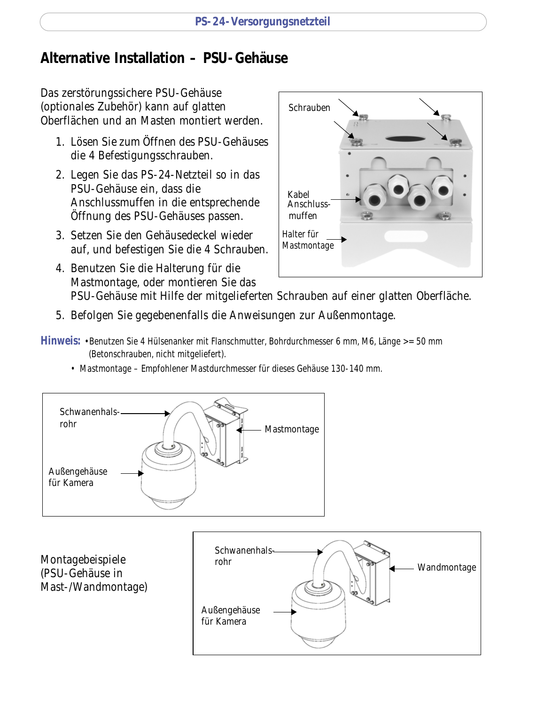# **Alternative Installation – PSU-Gehäuse**

Das zerstörungssichere PSU-Gehäuse (optionales Zubehör) kann auf glatten Oberflächen und an Masten montiert werden.

- 1. Lösen Sie zum Öffnen des PSU-Gehäuses die 4 Befestigungsschrauben.
- 2. Legen Sie das PS-24-Netzteil so in das PSU-Gehäuse ein, dass die Anschlussmuffen in die entsprechende Öffnung des PSU-Gehäuses passen.
- 3. Setzen Sie den Gehäusedeckel wieder auf, und befestigen Sie die 4 Schrauben.
- 4. Benutzen Sie die Halterung für die Mastmontage, oder montieren Sie das PSU-Gehäuse mit Hilfe der mitgelieferten Schrauben auf einer glatten Oberfläche.

Kabel **Anschluss-**

Halter für Mastmontage

muffen

Schrauben

- 5. Befolgen Sie gegebenenfalls die Anweisungen zur Außenmontage.
- **Hinweis:** •Benutzen Sie 4 Hülsenanker mit Flanschmutter, Bohrdurchmesser 6 mm, M6, Länge >= 50 mm (Betonschrauben, nicht mitgeliefert).
	- Mastmontage Empfohlener Mastdurchmesser für dieses Gehäuse 130-140 mm.



Montagebeispiele (PSU-Gehäuse in Mast-/Wandmontage)

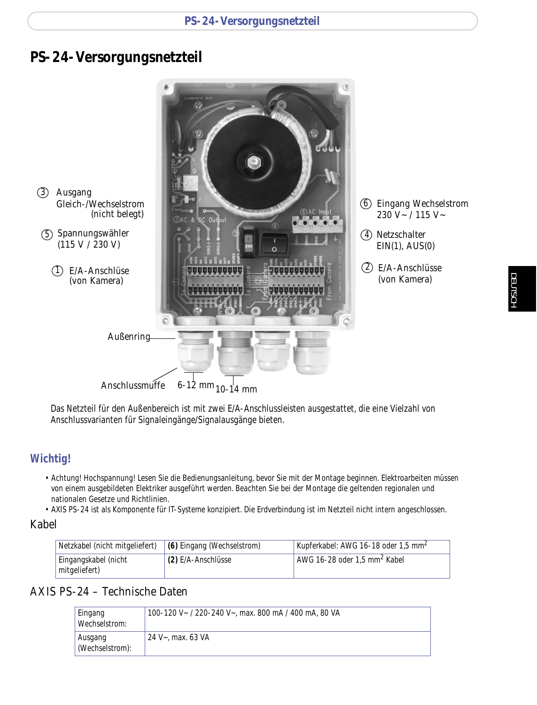### **PS-24-Versorgungsnetzteil**



Das Netzteil für den Außenbereich ist mit zwei E/A-Anschlussleisten ausgestattet, die eine Vielzahl von Anschlussvarianten für Signaleingänge/Signalausgänge bieten.

### **Wichtig!**

- Achtung! Hochspannung! Lesen Sie die Bedienungsanleitung, bevor Sie mit der Montage beginnen. Elektroarbeiten müssen von einem ausgebildeten Elektriker ausgeführt werden. Beachten Sie bei der Montage die geltenden regionalen und nationalen Gesetze und Richtlinien.
- AXIS PS-24 ist als Komponente für IT-Systeme konzipiert. Die Erdverbindung ist im Netzteil nicht intern angeschlossen.

#### Kabel

| Netzkabel (nicht mitgeliefert)        | (6) Eingang (Wechselstrom) | Kupferkabel: AWG 16-18 oder 1,5 mm <sup>2</sup> |
|---------------------------------------|----------------------------|-------------------------------------------------|
| Eingangskabel (nicht<br>mitgeliefert) | (2) E/A-Anschlüsse         | AWG 16-28 oder 1.5 mm <sup>2</sup> Kabel        |

### AXIS PS-24 – Technische Daten

| Eingang<br>Wechselstrom:   | 100-120 V~ / 220-240 V~, max. 800 mA / 400 mA, 80 VA |
|----------------------------|------------------------------------------------------|
| Ausgang<br>(Wechselstrom): | 24 V~, max, 63 VA                                    |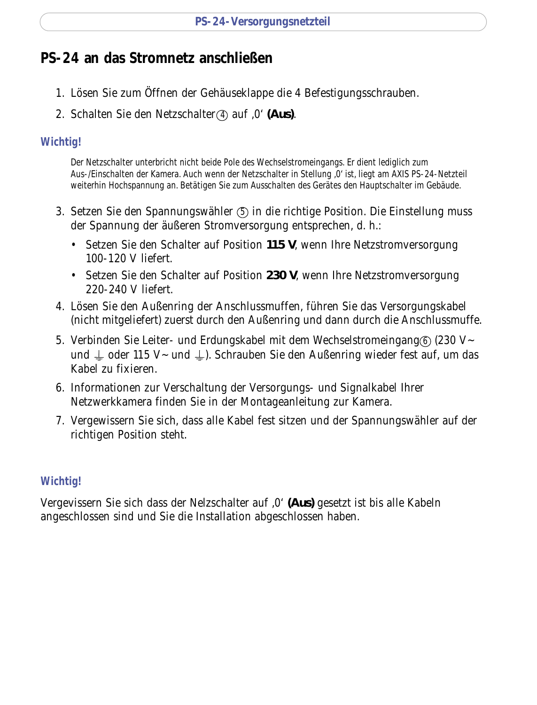# **PS-24 an das Stromnetz anschließen**

- 1. Lösen Sie zum Öffnen der Gehäuseklappe die 4 Befestigungsschrauben.
- 2. Schalten Sie den Netzschalter (4) auf , 0' (Aus).

### **Wichtig!**

Der Netzschalter unterbricht nicht beide Pole des Wechselstromeingangs. Er dient lediglich zum Aus-/Einschalten der Kamera. Auch wenn der Netzschalter in Stellung ,0' ist, liegt am AXIS PS-24-Netzteil weiterhin Hochspannung an. Betätigen Sie zum Ausschalten des Gerätes den Hauptschalter im Gebäude.

- 3. Setzen Sie den Spannungswähler  $\circledS$  in die richtige Position. Die Einstellung muss der Spannung der äußeren Stromversorgung entsprechen, d. h.:
	- Setzen Sie den Schalter auf Position **115 V**, wenn Ihre Netzstromversorgung 100-120 V liefert.
	- Setzen Sie den Schalter auf Position **230 V**, wenn Ihre Netzstromversorgung 220-240 V liefert.
- 4. Lösen Sie den Außenring der Anschlussmuffen, führen Sie das Versorgungskabel (nicht mitgeliefert) zuerst durch den Außenring und dann durch die Anschlussmuffe.
- 5. Verbinden Sie Leiter- und Erdungskabel mit dem Wechselstromeingang $\circledS$  (230 V~ und  $\perp$  oder 115 V~ und  $\perp$ ). Schrauben Sie den Außenring wieder fest auf, um das Kabel zu fixieren.
- 6. Informationen zur Verschaltung der Versorgungs- und Signalkabel Ihrer Netzwerkkamera finden Sie in der Montageanleitung zur Kamera.
- 7. Vergewissern Sie sich, dass alle Kabel fest sitzen und der Spannungswähler auf der richtigen Position steht.

### **Wichtig!**

Vergevissern Sie sich dass der Nelzschalter auf '0' **(Aus)** gesetzt ist bis alle Kabeln angeschlossen sind und Sie die Installation abgeschlossen haben.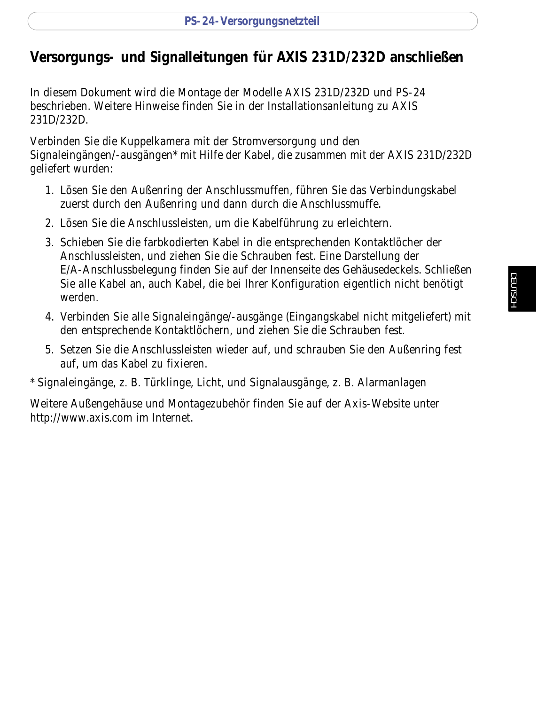# **Versorgungs- und Signalleitungen für AXIS 231D/232D anschließen**

In diesem Dokument wird die Montage der Modelle AXIS 231D/232D und PS-24 beschrieben. Weitere Hinweise finden Sie in der Installationsanleitung zu AXIS 231D/232D.

Verbinden Sie die Kuppelkamera mit der Stromversorgung und den Signaleingängen/-ausgängen\* mit Hilfe der Kabel, die zusammen mit der AXIS 231D/232D geliefert wurden:

- 1. Lösen Sie den Außenring der Anschlussmuffen, führen Sie das Verbindungskabel zuerst durch den Außenring und dann durch die Anschlussmuffe.
- 2. Lösen Sie die Anschlussleisten, um die Kabelführung zu erleichtern.
- 3. Schieben Sie die farbkodierten Kabel in die entsprechenden Kontaktlöcher der Anschlussleisten, und ziehen Sie die Schrauben fest. Eine Darstellung der E/A-Anschlussbelegung finden Sie auf der Innenseite des Gehäusedeckels. Schließen Sie alle Kabel an, auch Kabel, die bei Ihrer Konfiguration eigentlich nicht benötigt werden.
- 4. Verbinden Sie alle Signaleingänge/-ausgänge (Eingangskabel nicht mitgeliefert) mit den entsprechende Kontaktlöchern, und ziehen Sie die Schrauben fest.
- 5. Setzen Sie die Anschlussleisten wieder auf, und schrauben Sie den Außenring fest auf, um das Kabel zu fixieren.

\* Signaleingänge, z. B. Türklinge, Licht, und Signalausgänge, z. B. Alarmanlagen

Weitere Außengehäuse und Montagezubehör finden Sie auf der Axis-Website unter http://www.axis.com im Internet.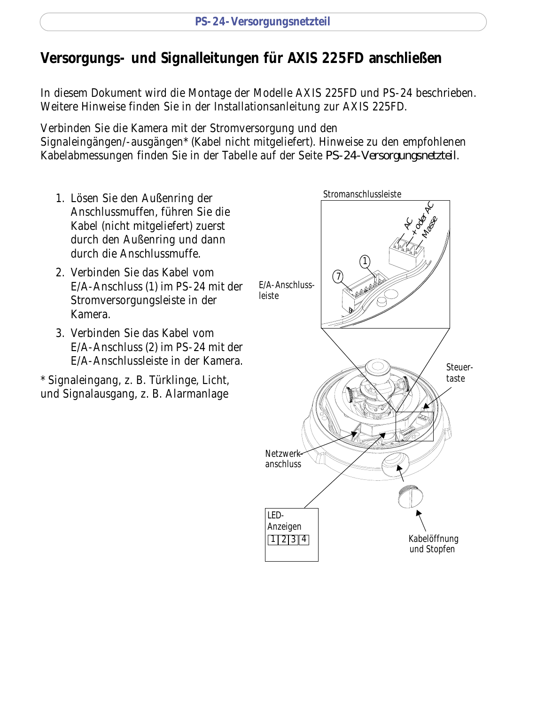# **Versorgungs- und Signalleitungen für AXIS 225FD anschließen**

In diesem Dokument wird die Montage der Modelle AXIS 225FD und PS-24 beschrieben. Weitere Hinweise finden Sie in der Installationsanleitung zur AXIS 225FD.

Verbinden Sie die Kamera mit der Stromversorgung und den

Signaleingängen/-ausgängen\* (Kabel nicht mitgeliefert). Hinweise zu den empfohlenen Kabelabmessungen finden Sie in der Tabelle auf der Seite *PS-24-Versorgungsnetzteil*.